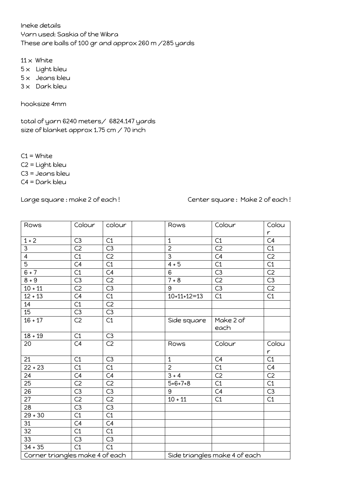Ineke details Yarn used: Saskia of the Wibra These are balls of 100 gr and approx 260 m /285 yards

 $11 \times$  White  $5 \times$  Light bleu  $5 \times$  Jeans bleu  $3 \times$  Dark bleu

hooksize 4mm

total of yarn 6240 meters/ 6824.147 yards size of blanket approx 1.75 cm / 70 inch

 $C1 =$  White

C2 = Light bleu

C3 = Jeans bleu

C4 = Dark bleu

Large square : make 2 of each ! Center square : Make 2 of each !

| Rows                            | Colour          | colour          | Rows                          | Colour          | Colou           |
|---------------------------------|-----------------|-----------------|-------------------------------|-----------------|-----------------|
|                                 |                 |                 |                               |                 | $\mathsf{r}$    |
| $1 + 2$                         | C3              | C1              | $\mathbf{1}$                  | C1              | C4              |
| $\overline{\omega}$             | $\overline{C2}$ | C3              | $\overline{2}$                | $\overline{C2}$ | $\overline{C1}$ |
| $\overline{4}$                  | C1              | C <sub>2</sub>  | $\overline{3}$                | C4              | C <sub>2</sub>  |
| $\overline{5}$                  | $\overline{C4}$ | C1              | $4 + 5$                       | $\overline{C1}$ | C1              |
| $6 + 7$                         | C1              | C4              | 6                             | C3              | C <sub>2</sub>  |
| $8 + 9$                         | $\overline{C3}$ | $\overline{C2}$ | $7 + 8$                       | C <sub>2</sub>  | C3              |
| $10 + 11$                       | C <sub>2</sub>  | C3              | 9                             | C3              | C <sub>2</sub>  |
| $12 + 13$                       | $\overline{C4}$ | C1              | $10+11+12=13$                 | C1              | $\overline{C1}$ |
| 14                              | C1              | C <sub>2</sub>  |                               |                 |                 |
| 15 <sup>15</sup>                | C3              | C3              |                               |                 |                 |
| $16 + 17$                       | C <sub>2</sub>  | C1              | Side square                   | Make 2 of       |                 |
|                                 |                 |                 |                               | each            |                 |
| $18 + 19$                       | C1              | C3              |                               |                 |                 |
| 20                              | C4              | $\overline{C2}$ | Rows                          | Colour          | Colou           |
|                                 |                 |                 |                               |                 | r               |
| 21                              | C1              | $\overline{C3}$ | $\mathbf{1}$                  | C4              | $\overline{C1}$ |
| $22 + 23$                       | C1              | C1              | $\overline{2}$                | $\overline{C1}$ | C4              |
| 24                              | C4              | C4              | $3 + 4$                       | C <sub>2</sub>  | C <sub>2</sub>  |
| 25                              | $\overline{C2}$ | C <sub>2</sub>  | $5 + 6 + 7 + 8$               | C1              | C1              |
| 26                              | $\overline{C3}$ | C3              | 9                             | C4              | C3              |
| 27                              | $\overline{C2}$ | C <sub>2</sub>  | $10 + 11$                     | C1              | C1              |
| 28                              | $\overline{C3}$ | $\overline{C3}$ |                               |                 |                 |
| $29 + 30$                       | $\overline{C1}$ | $\overline{C1}$ |                               |                 |                 |
| 31                              | C4              | C4              |                               |                 |                 |
| 32                              | $\overline{C1}$ | $\overline{C1}$ |                               |                 |                 |
| 33                              | $\overline{C3}$ | C3              |                               |                 |                 |
| $34 + 35$                       | $\overline{C1}$ | C1              |                               |                 |                 |
| Corner triangles make 4 of each |                 |                 | Side triangles make 4 of each |                 |                 |